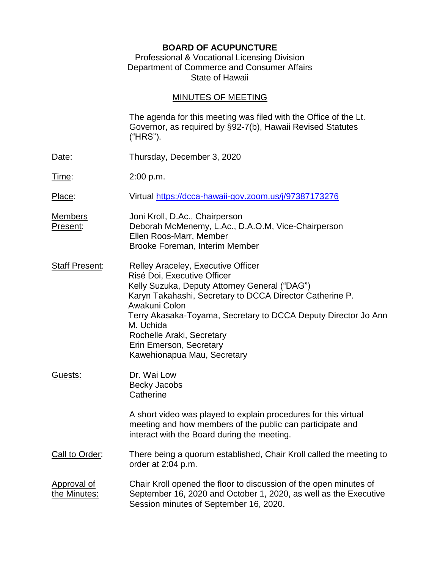### **BOARD OF ACUPUNCTURE**

### Professional & Vocational Licensing Division Department of Commerce and Consumer Affairs State of Hawaii

# MINUTES OF MEETING

|                                    | The agenda for this meeting was filed with the Office of the Lt.<br>Governor, as required by §92-7(b), Hawaii Revised Statutes<br>("HRS").                                                                                                                                                                                                                            |
|------------------------------------|-----------------------------------------------------------------------------------------------------------------------------------------------------------------------------------------------------------------------------------------------------------------------------------------------------------------------------------------------------------------------|
| Date:                              | Thursday, December 3, 2020                                                                                                                                                                                                                                                                                                                                            |
| Time:                              | 2:00 p.m.                                                                                                                                                                                                                                                                                                                                                             |
| Place:                             | Virtual https://dcca-hawaii-gov.zoom.us/j/97387173276                                                                                                                                                                                                                                                                                                                 |
| <b>Members</b><br>Present:         | Joni Kroll, D.Ac., Chairperson<br>Deborah McMenemy, L.Ac., D.A.O.M, Vice-Chairperson<br>Ellen Roos-Marr, Member<br>Brooke Foreman, Interim Member                                                                                                                                                                                                                     |
| <b>Staff Present:</b>              | Relley Araceley, Executive Officer<br>Risé Doi, Executive Officer<br>Kelly Suzuka, Deputy Attorney General ("DAG")<br>Karyn Takahashi, Secretary to DCCA Director Catherine P.<br>Awakuni Colon<br>Terry Akasaka-Toyama, Secretary to DCCA Deputy Director Jo Ann<br>M. Uchida<br>Rochelle Araki, Secretary<br>Erin Emerson, Secretary<br>Kawehionapua Mau, Secretary |
| Guests:                            | Dr. Wai Low<br><b>Becky Jacobs</b><br>Catherine                                                                                                                                                                                                                                                                                                                       |
|                                    | A short video was played to explain procedures for this virtual<br>meeting and how members of the public can participate and<br>interact with the Board during the meeting.                                                                                                                                                                                           |
| Call to Order:                     | There being a quorum established, Chair Kroll called the meeting to<br>order at 2:04 p.m.                                                                                                                                                                                                                                                                             |
| <b>Approval of</b><br>the Minutes: | Chair Kroll opened the floor to discussion of the open minutes of<br>September 16, 2020 and October 1, 2020, as well as the Executive<br>Session minutes of September 16, 2020.                                                                                                                                                                                       |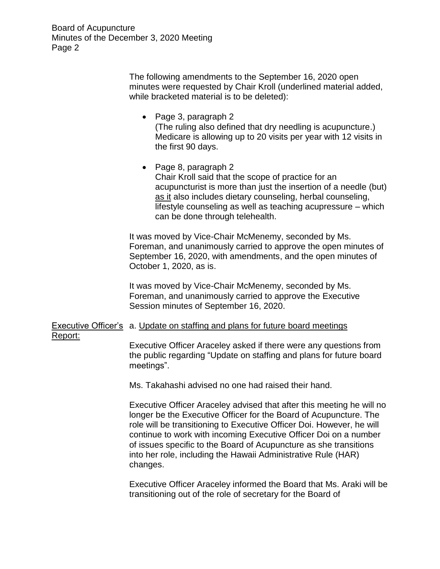The following amendments to the September 16, 2020 open minutes were requested by Chair Kroll (underlined material added, while bracketed material is to be deleted):

- Page 3, paragraph 2 (The ruling also defined that dry needling is acupuncture.) Medicare is allowing up to 20 visits per year with 12 visits in the first 90 days.
- Page 8, paragraph 2 Chair Kroll said that the scope of practice for an acupuncturist is more than just the insertion of a needle (but) as it also includes dietary counseling, herbal counseling, lifestyle counseling as well as teaching acupressure – which can be done through telehealth.

It was moved by Vice-Chair McMenemy, seconded by Ms. Foreman, and unanimously carried to approve the open minutes of September 16, 2020, with amendments, and the open minutes of October 1, 2020, as is.

It was moved by Vice-Chair McMenemy, seconded by Ms. Foreman, and unanimously carried to approve the Executive Session minutes of September 16, 2020.

## Executive Officer's a. Update on staffing and plans for future board meetings Report:

Executive Officer Araceley asked if there were any questions from the public regarding "Update on staffing and plans for future board meetings".

Ms. Takahashi advised no one had raised their hand.

Executive Officer Araceley advised that after this meeting he will no longer be the Executive Officer for the Board of Acupuncture. The role will be transitioning to Executive Officer Doi. However, he will continue to work with incoming Executive Officer Doi on a number of issues specific to the Board of Acupuncture as she transitions into her role, including the Hawaii Administrative Rule (HAR) changes.

Executive Officer Araceley informed the Board that Ms. Araki will be transitioning out of the role of secretary for the Board of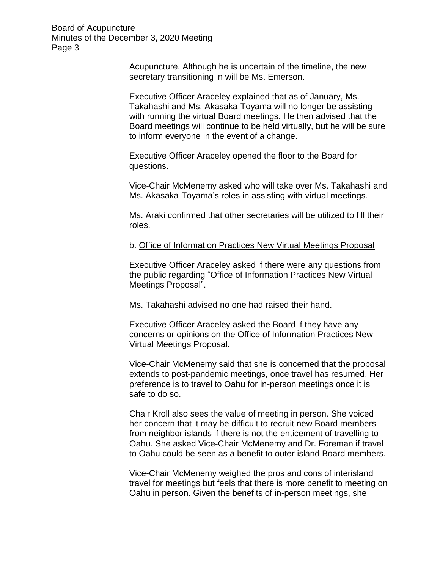> Acupuncture. Although he is uncertain of the timeline, the new secretary transitioning in will be Ms. Emerson.

Executive Officer Araceley explained that as of January, Ms. Takahashi and Ms. Akasaka-Toyama will no longer be assisting with running the virtual Board meetings. He then advised that the Board meetings will continue to be held virtually, but he will be sure to inform everyone in the event of a change.

Executive Officer Araceley opened the floor to the Board for questions.

Vice-Chair McMenemy asked who will take over Ms. Takahashi and Ms. Akasaka-Toyama's roles in assisting with virtual meetings.

Ms. Araki confirmed that other secretaries will be utilized to fill their roles.

b. Office of Information Practices New Virtual Meetings Proposal

Executive Officer Araceley asked if there were any questions from the public regarding "Office of Information Practices New Virtual Meetings Proposal".

Ms. Takahashi advised no one had raised their hand.

Executive Officer Araceley asked the Board if they have any concerns or opinions on the Office of Information Practices New Virtual Meetings Proposal.

Vice-Chair McMenemy said that she is concerned that the proposal extends to post-pandemic meetings, once travel has resumed. Her preference is to travel to Oahu for in-person meetings once it is safe to do so.

Chair Kroll also sees the value of meeting in person. She voiced her concern that it may be difficult to recruit new Board members from neighbor islands if there is not the enticement of travelling to Oahu. She asked Vice-Chair McMenemy and Dr. Foreman if travel to Oahu could be seen as a benefit to outer island Board members.

Vice-Chair McMenemy weighed the pros and cons of interisland travel for meetings but feels that there is more benefit to meeting on Oahu in person. Given the benefits of in-person meetings, she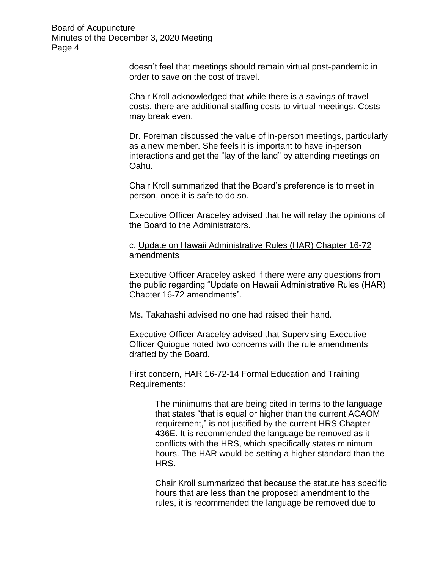> doesn't feel that meetings should remain virtual post-pandemic in order to save on the cost of travel.

> Chair Kroll acknowledged that while there is a savings of travel costs, there are additional staffing costs to virtual meetings. Costs may break even.

Dr. Foreman discussed the value of in-person meetings, particularly as a new member. She feels it is important to have in-person interactions and get the "lay of the land" by attending meetings on Oahu.

Chair Kroll summarized that the Board's preference is to meet in person, once it is safe to do so.

Executive Officer Araceley advised that he will relay the opinions of the Board to the Administrators.

c. Update on Hawaii Administrative Rules (HAR) Chapter 16-72 amendments

Executive Officer Araceley asked if there were any questions from the public regarding "Update on Hawaii Administrative Rules (HAR) Chapter 16-72 amendments".

Ms. Takahashi advised no one had raised their hand.

Executive Officer Araceley advised that Supervising Executive Officer Quiogue noted two concerns with the rule amendments drafted by the Board.

First concern, HAR 16-72-14 Formal Education and Training Requirements:

> The minimums that are being cited in terms to the language that states "that is equal or higher than the current ACAOM requirement," is not justified by the current HRS Chapter 436E. It is recommended the language be removed as it conflicts with the HRS, which specifically states minimum hours. The HAR would be setting a higher standard than the HRS.

> Chair Kroll summarized that because the statute has specific hours that are less than the proposed amendment to the rules, it is recommended the language be removed due to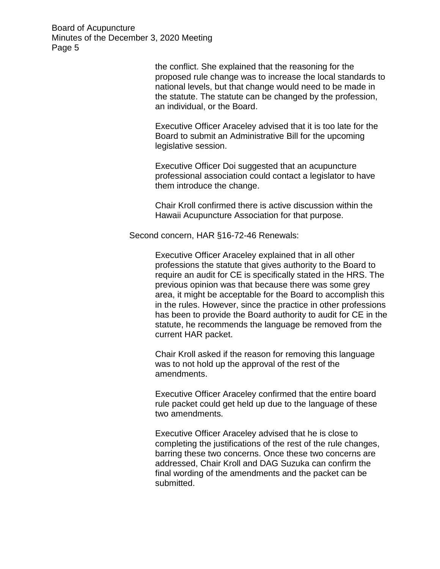> the conflict. She explained that the reasoning for the proposed rule change was to increase the local standards to national levels, but that change would need to be made in the statute. The statute can be changed by the profession, an individual, or the Board.

Executive Officer Araceley advised that it is too late for the Board to submit an Administrative Bill for the upcoming legislative session.

Executive Officer Doi suggested that an acupuncture professional association could contact a legislator to have them introduce the change.

Chair Kroll confirmed there is active discussion within the Hawaii Acupuncture Association for that purpose.

Second concern, HAR §16-72-46 Renewals:

Executive Officer Araceley explained that in all other professions the statute that gives authority to the Board to require an audit for CE is specifically stated in the HRS. The previous opinion was that because there was some grey area, it might be acceptable for the Board to accomplish this in the rules. However, since the practice in other professions has been to provide the Board authority to audit for CE in the statute, he recommends the language be removed from the current HAR packet.

Chair Kroll asked if the reason for removing this language was to not hold up the approval of the rest of the amendments.

Executive Officer Araceley confirmed that the entire board rule packet could get held up due to the language of these two amendments.

Executive Officer Araceley advised that he is close to completing the justifications of the rest of the rule changes, barring these two concerns. Once these two concerns are addressed, Chair Kroll and DAG Suzuka can confirm the final wording of the amendments and the packet can be submitted.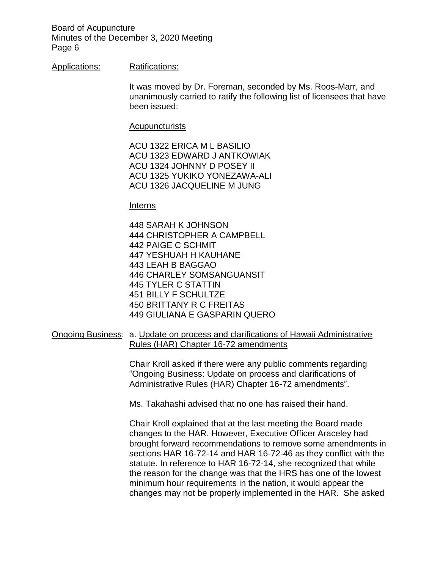### Applications: Ratifications:

It was moved by Dr. Foreman, seconded by Ms. Roos-Marr, and unanimously carried to ratify the following list of licensees that have been issued:

#### Acupuncturists

ACU 1322 ERICA M L BASILIO ACU 1323 EDWARD J ANTKOWIAK ACU 1324 JOHNNY D POSEY II ACU 1325 YUKIKO YONEZAWA-ALI ACU 1326 JACQUELINE M JUNG

#### Interns

448 SARAH K JOHNSON 444 CHRISTOPHER A CAMPBELL 442 PAIGE C SCHMIT 447 YESHUAH H KAUHANE 443 LEAH B BAGGAO 446 CHARLEY SOMSANGUANSIT 445 TYLER C STATTIN 451 BILLY F SCHULTZE 450 BRITTANY R C FREITAS 449 GIULIANA E GASPARIN QUERO

Ongoing Business: a. Update on process and clarifications of Hawaii Administrative Rules (HAR) Chapter 16-72 amendments

> Chair Kroll asked if there were any public comments regarding "Ongoing Business: Update on process and clarifications of Administrative Rules (HAR) Chapter 16-72 amendments".

Ms. Takahashi advised that no one has raised their hand.

Chair Kroll explained that at the last meeting the Board made changes to the HAR. However, Executive Officer Araceley had brought forward recommendations to remove some amendments in sections HAR 16-72-14 and HAR 16-72-46 as they conflict with the statute. In reference to HAR 16-72-14, she recognized that while the reason for the change was that the HRS has one of the lowest minimum hour requirements in the nation, it would appear the changes may not be properly implemented in the HAR. She asked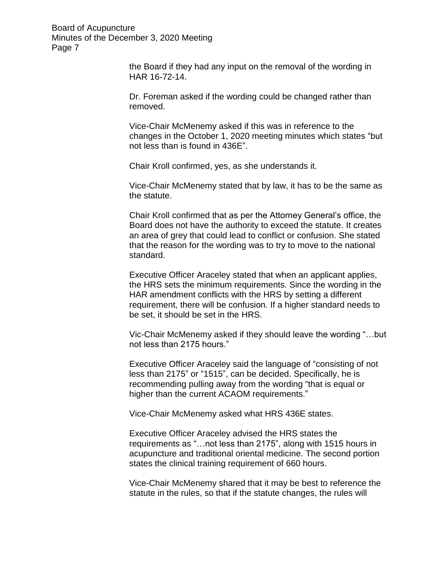> the Board if they had any input on the removal of the wording in HAR 16-72-14.

> Dr. Foreman asked if the wording could be changed rather than removed.

Vice-Chair McMenemy asked if this was in reference to the changes in the October 1, 2020 meeting minutes which states "but not less than is found in 436E".

Chair Kroll confirmed, yes, as she understands it.

Vice-Chair McMenemy stated that by law, it has to be the same as the statute.

Chair Kroll confirmed that as per the Attorney General's office, the Board does not have the authority to exceed the statute. It creates an area of grey that could lead to conflict or confusion. She stated that the reason for the wording was to try to move to the national standard.

Executive Officer Araceley stated that when an applicant applies, the HRS sets the minimum requirements. Since the wording in the HAR amendment conflicts with the HRS by setting a different requirement, there will be confusion. If a higher standard needs to be set, it should be set in the HRS.

Vic-Chair McMenemy asked if they should leave the wording "…but not less than 2175 hours."

Executive Officer Araceley said the language of "consisting of not less than 2175" or "1515", can be decided. Specifically, he is recommending pulling away from the wording "that is equal or higher than the current ACAOM requirements."

Vice-Chair McMenemy asked what HRS 436E states.

Executive Officer Araceley advised the HRS states the requirements as "…not less than 2175", along with 1515 hours in acupuncture and traditional oriental medicine. The second portion states the clinical training requirement of 660 hours.

Vice-Chair McMenemy shared that it may be best to reference the statute in the rules, so that if the statute changes, the rules will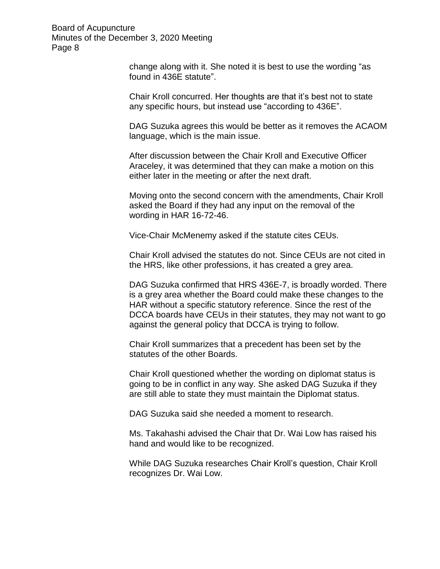> change along with it. She noted it is best to use the wording "as found in 436E statute".

> Chair Kroll concurred. Her thoughts are that it's best not to state any specific hours, but instead use "according to 436E".

DAG Suzuka agrees this would be better as it removes the ACAOM language, which is the main issue.

After discussion between the Chair Kroll and Executive Officer Araceley, it was determined that they can make a motion on this either later in the meeting or after the next draft.

Moving onto the second concern with the amendments, Chair Kroll asked the Board if they had any input on the removal of the wording in HAR 16-72-46.

Vice-Chair McMenemy asked if the statute cites CEUs.

Chair Kroll advised the statutes do not. Since CEUs are not cited in the HRS, like other professions, it has created a grey area.

DAG Suzuka confirmed that HRS 436E-7, is broadly worded. There is a grey area whether the Board could make these changes to the HAR without a specific statutory reference. Since the rest of the DCCA boards have CEUs in their statutes, they may not want to go against the general policy that DCCA is trying to follow.

Chair Kroll summarizes that a precedent has been set by the statutes of the other Boards.

Chair Kroll questioned whether the wording on diplomat status is going to be in conflict in any way. She asked DAG Suzuka if they are still able to state they must maintain the Diplomat status.

DAG Suzuka said she needed a moment to research.

Ms. Takahashi advised the Chair that Dr. Wai Low has raised his hand and would like to be recognized.

While DAG Suzuka researches Chair Kroll's question, Chair Kroll recognizes Dr. Wai Low.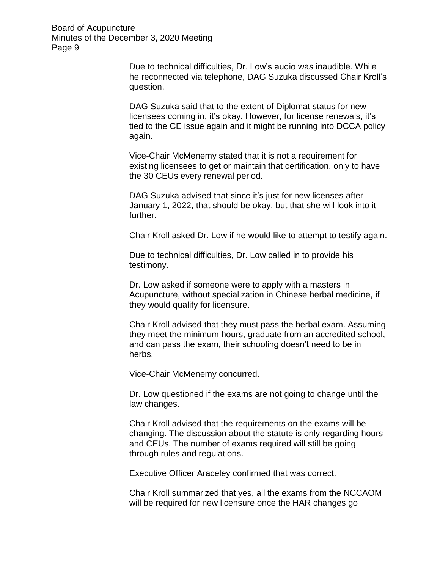> Due to technical difficulties, Dr. Low's audio was inaudible. While he reconnected via telephone, DAG Suzuka discussed Chair Kroll's question.

> DAG Suzuka said that to the extent of Diplomat status for new licensees coming in, it's okay. However, for license renewals, it's tied to the CE issue again and it might be running into DCCA policy again.

Vice-Chair McMenemy stated that it is not a requirement for existing licensees to get or maintain that certification, only to have the 30 CEUs every renewal period.

DAG Suzuka advised that since it's just for new licenses after January 1, 2022, that should be okay, but that she will look into it further.

Chair Kroll asked Dr. Low if he would like to attempt to testify again.

Due to technical difficulties, Dr. Low called in to provide his testimony.

Dr. Low asked if someone were to apply with a masters in Acupuncture, without specialization in Chinese herbal medicine, if they would qualify for licensure.

Chair Kroll advised that they must pass the herbal exam. Assuming they meet the minimum hours, graduate from an accredited school, and can pass the exam, their schooling doesn't need to be in herbs.

Vice-Chair McMenemy concurred.

Dr. Low questioned if the exams are not going to change until the law changes.

Chair Kroll advised that the requirements on the exams will be changing. The discussion about the statute is only regarding hours and CEUs. The number of exams required will still be going through rules and regulations.

Executive Officer Araceley confirmed that was correct.

Chair Kroll summarized that yes, all the exams from the NCCAOM will be required for new licensure once the HAR changes go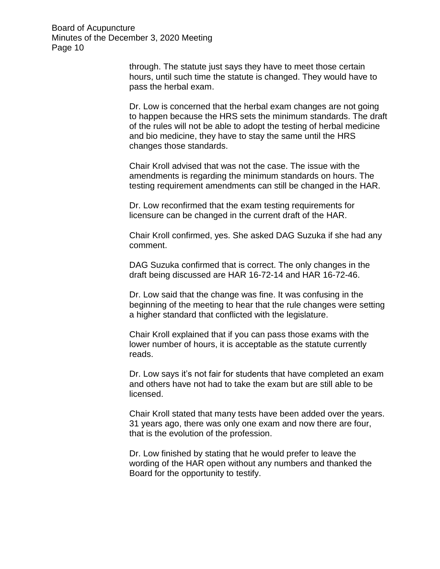> through. The statute just says they have to meet those certain hours, until such time the statute is changed. They would have to pass the herbal exam.

Dr. Low is concerned that the herbal exam changes are not going to happen because the HRS sets the minimum standards. The draft of the rules will not be able to adopt the testing of herbal medicine and bio medicine, they have to stay the same until the HRS changes those standards.

Chair Kroll advised that was not the case. The issue with the amendments is regarding the minimum standards on hours. The testing requirement amendments can still be changed in the HAR.

Dr. Low reconfirmed that the exam testing requirements for licensure can be changed in the current draft of the HAR.

Chair Kroll confirmed, yes. She asked DAG Suzuka if she had any comment.

DAG Suzuka confirmed that is correct. The only changes in the draft being discussed are HAR 16-72-14 and HAR 16-72-46.

Dr. Low said that the change was fine. It was confusing in the beginning of the meeting to hear that the rule changes were setting a higher standard that conflicted with the legislature.

Chair Kroll explained that if you can pass those exams with the lower number of hours, it is acceptable as the statute currently reads.

Dr. Low says it's not fair for students that have completed an exam and others have not had to take the exam but are still able to be licensed.

Chair Kroll stated that many tests have been added over the years. 31 years ago, there was only one exam and now there are four, that is the evolution of the profession.

Dr. Low finished by stating that he would prefer to leave the wording of the HAR open without any numbers and thanked the Board for the opportunity to testify.